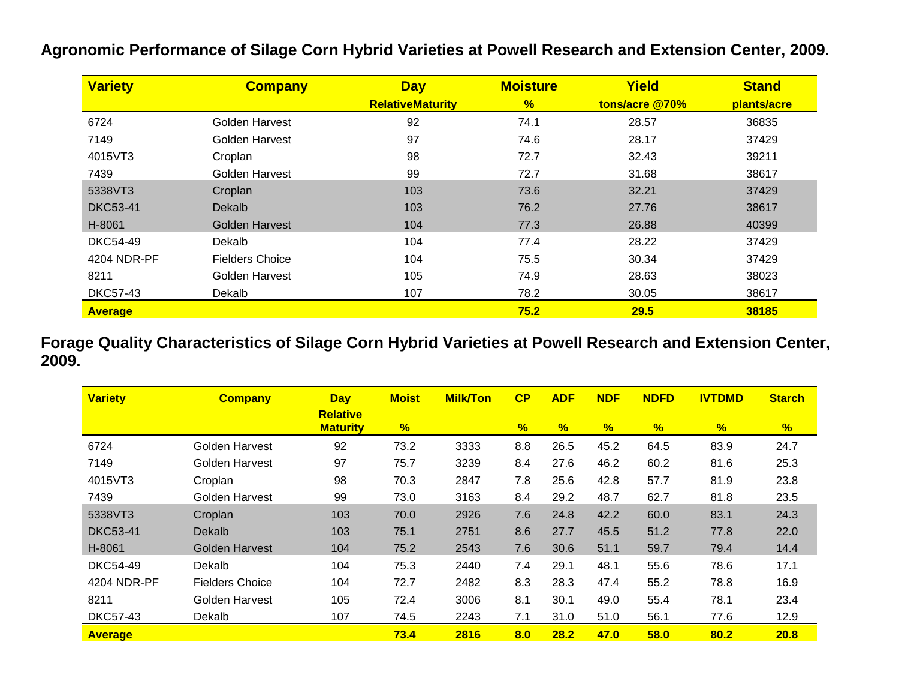| <b>Variety</b>  | <b>Company</b>         | <b>Day</b>              | <b>Moisture</b> | Yield          | <b>Stand</b> |
|-----------------|------------------------|-------------------------|-----------------|----------------|--------------|
|                 |                        | <b>RelativeMaturity</b> | %               | tons/acre @70% | plants/acre  |
| 6724            | Golden Harvest         | 92                      | 74.1            | 28.57          | 36835        |
| 7149            | Golden Harvest         | 97                      | 74.6            | 28.17          | 37429        |
| 4015VT3         | Croplan                | 98                      | 72.7            | 32.43          | 39211        |
| 7439            | Golden Harvest         | 99                      | 72.7            | 31.68          | 38617        |
| 5338VT3         | Croplan                | 103                     | 73.6            | 32.21          | 37429        |
| <b>DKC53-41</b> | Dekalb                 | 103                     | 76.2            | 27.76          | 38617        |
| H-8061          | Golden Harvest         | 104                     | 77.3            | 26.88          | 40399        |
| <b>DKC54-49</b> | Dekalb                 | 104                     | 77.4            | 28.22          | 37429        |
| 4204 NDR-PF     | <b>Fielders Choice</b> | 104                     | 75.5            | 30.34          | 37429        |
| 8211            | Golden Harvest         | 105                     | 74.9            | 28.63          | 38023        |
| <b>DKC57-43</b> | Dekalb                 | 107                     | 78.2            | 30.05          | 38617        |
| <b>Average</b>  |                        |                         | 75.2            | 29.5           | 38185        |

**Agronomic Performance of Silage Corn Hybrid Varieties at Powell Research and Extension Center, 2009.**

**Forage Quality Characteristics of Silage Corn Hybrid Varieties at Powell Research and Extension Center, 2009.**

| <b>Variety</b>  | <b>Company</b>         | <b>Day</b>                         | <b>Moist</b>  | <b>Milk/Ton</b> | CP            | <b>ADF</b> | <b>NDF</b> | <b>NDFD</b> | <b>IVTDMD</b> | <b>Starch</b> |
|-----------------|------------------------|------------------------------------|---------------|-----------------|---------------|------------|------------|-------------|---------------|---------------|
|                 |                        | <b>Relative</b><br><b>Maturity</b> | $\frac{9}{6}$ |                 | $\frac{1}{2}$ | %          | %          | %           | %             | $\frac{1}{2}$ |
| 6724            | Golden Harvest         | 92                                 | 73.2          | 3333            | 8.8           | 26.5       | 45.2       | 64.5        | 83.9          | 24.7          |
| 7149            | Golden Harvest         | 97                                 | 75.7          | 3239            | 8.4           | 27.6       | 46.2       | 60.2        | 81.6          | 25.3          |
| 4015VT3         | Croplan                | 98                                 | 70.3          | 2847            | 7.8           | 25.6       | 42.8       | 57.7        | 81.9          | 23.8          |
| 7439            | Golden Harvest         | 99                                 | 73.0          | 3163            | 8.4           | 29.2       | 48.7       | 62.7        | 81.8          | 23.5          |
| 5338VT3         | Croplan                | 103                                | 70.0          | 2926            | 7.6           | 24.8       | 42.2       | 60.0        | 83.1          | 24.3          |
| <b>DKC53-41</b> | Dekalb                 | 103                                | 75.1          | 2751            | 8.6           | 27.7       | 45.5       | 51.2        | 77.8          | 22.0          |
| H-8061          | <b>Golden Harvest</b>  | 104                                | 75.2          | 2543            | 7.6           | 30.6       | 51.1       | 59.7        | 79.4          | 14.4          |
| <b>DKC54-49</b> | Dekalb                 | 104                                | 75.3          | 2440            | 7.4           | 29.1       | 48.1       | 55.6        | 78.6          | 17.1          |
| 4204 NDR-PF     | <b>Fielders Choice</b> | 104                                | 72.7          | 2482            | 8.3           | 28.3       | 47.4       | 55.2        | 78.8          | 16.9          |
| 8211            | Golden Harvest         | 105                                | 72.4          | 3006            | 8.1           | 30.1       | 49.0       | 55.4        | 78.1          | 23.4          |
| <b>DKC57-43</b> | Dekalb                 | 107                                | 74.5          | 2243            | 7.1           | 31.0       | 51.0       | 56.1        | 77.6          | 12.9          |
| <b>Average</b>  |                        |                                    | 73.4          | 2816            | 8.0           | 28.2       | 47.0       | 58.0        | 80.2          | 20.8          |